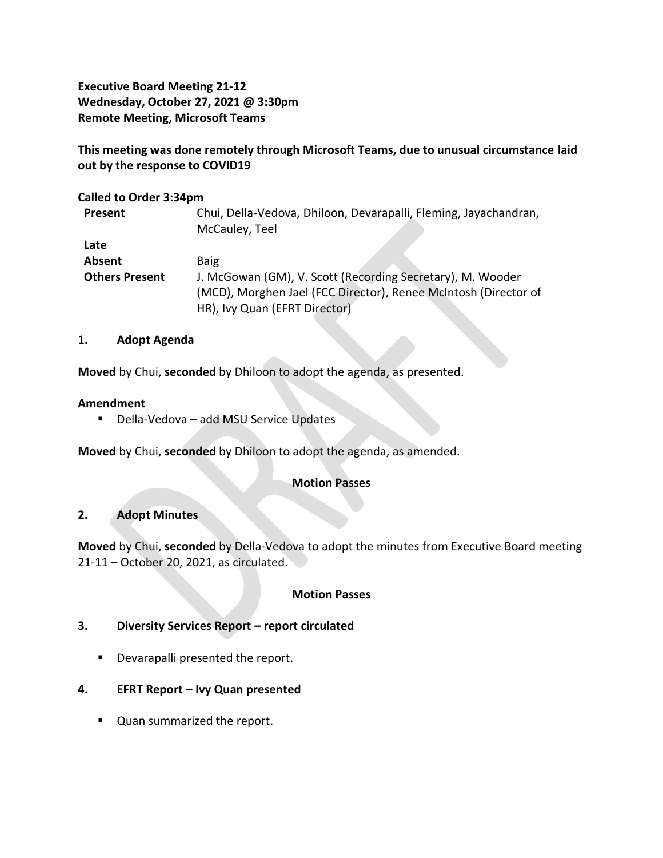**Executive Board Meeting 21-12 Wednesday, October 27, 2021 @ 3:30pm Remote Meeting, Microsoft Teams**

**This meeting was done remotely through Microsoft Teams, due to unusual circumstance laid out by the response to COVID19**

### **Called to Order 3:34pm**

| Present               | Chui, Della-Vedova, Dhiloon, Devarapalli, Fleming, Jayachandran, |
|-----------------------|------------------------------------------------------------------|
|                       | McCauley, Teel                                                   |
| Late                  |                                                                  |
| Absent                | <b>Baig</b>                                                      |
| <b>Others Present</b> | J. McGowan (GM), V. Scott (Recording Secretary), M. Wooder       |
|                       | (MCD), Morghen Jael (FCC Director), Renee McIntosh (Director of  |
|                       | HR), Ivy Quan (EFRT Director)                                    |

### **1. Adopt Agenda**

**Moved** by Chui, **seconded** by Dhiloon to adopt the agenda, as presented.

#### **Amendment**

■ Della-Vedova – add MSU Service Updates

**Moved** by Chui, **seconded** by Dhiloon to adopt the agenda, as amended.

### **Motion Passes**

### **2. Adopt Minutes**

**Moved** by Chui, **seconded** by Della-Vedova to adopt the minutes from Executive Board meeting 21-11 – October 20, 2021, as circulated.

### **Motion Passes**

### **3. Diversity Services Report – report circulated**

- Devarapalli presented the report.
- **4. EFRT Report – Ivy Quan presented**
	- Quan summarized the report.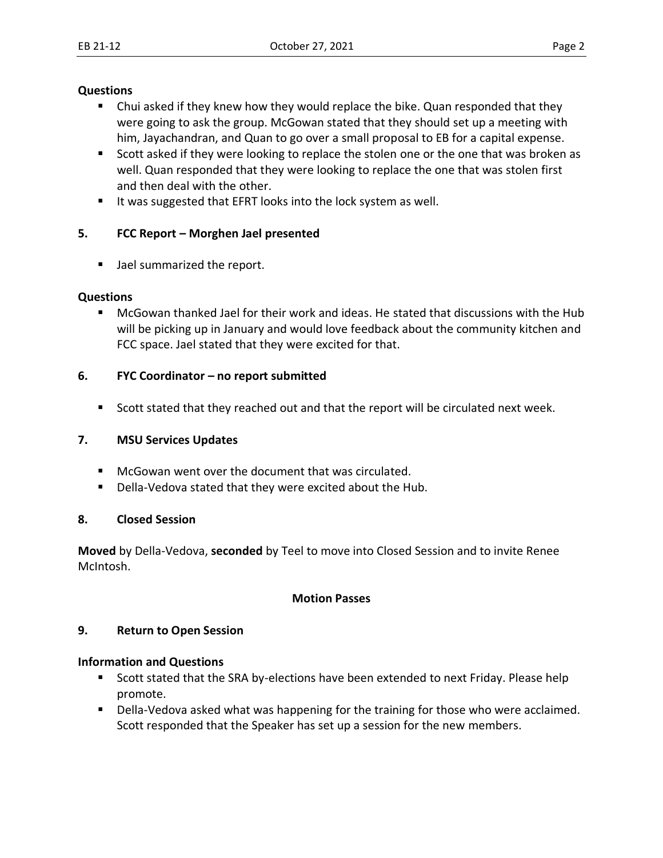#### **Questions**

- Chui asked if they knew how they would replace the bike. Quan responded that they were going to ask the group. McGowan stated that they should set up a meeting with him, Jayachandran, and Quan to go over a small proposal to EB for a capital expense.
- Scott asked if they were looking to replace the stolen one or the one that was broken as well. Quan responded that they were looking to replace the one that was stolen first and then deal with the other.
- It was suggested that EFRT looks into the lock system as well.

# **5. FCC Report – Morghen Jael presented**

■ Jael summarized the report.

## **Questions**

■ McGowan thanked Jael for their work and ideas. He stated that discussions with the Hub will be picking up in January and would love feedback about the community kitchen and FCC space. Jael stated that they were excited for that.

## **6. FYC Coordinator – no report submitted**

■ Scott stated that they reached out and that the report will be circulated next week.

# **7. MSU Services Updates**

- McGowan went over the document that was circulated.
- Della-Vedova stated that they were excited about the Hub.

### **8. Closed Session**

**Moved** by Della-Vedova, **seconded** by Teel to move into Closed Session and to invite Renee McIntosh.

### **Motion Passes**

### **9. Return to Open Session**

### **Information and Questions**

- Scott stated that the SRA by-elections have been extended to next Friday. Please help promote.
- Della-Vedova asked what was happening for the training for those who were acclaimed. Scott responded that the Speaker has set up a session for the new members.